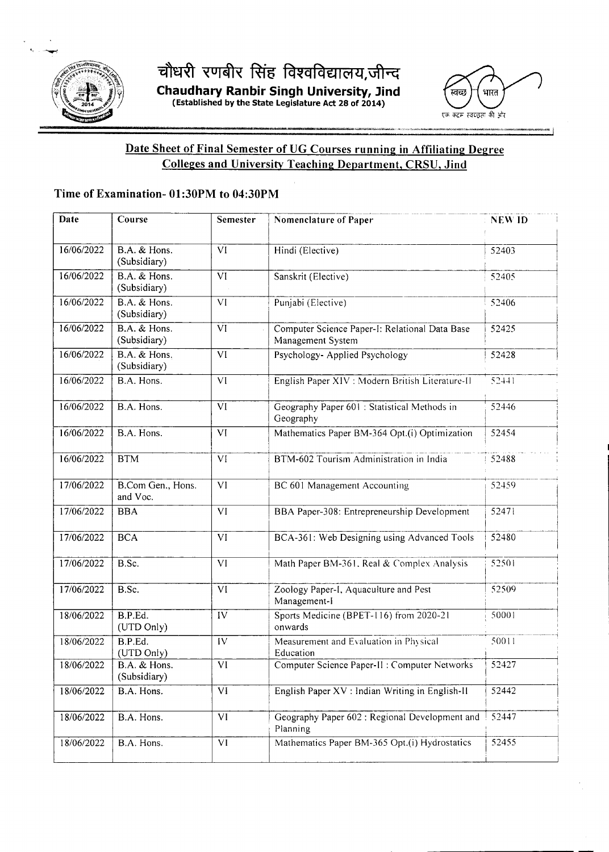

चौधरी रणबीर सिंह विश्वविद्यालय,जीन्द **Chaudhary Ranbir Singh University, Jind (Established by the State Legislature Act 28 of 2014)** 



## **Date Sheet** of Final Semester of UG **Courses running in Affiliating Degree Colleges and University Teaching Department, CRSU, Jind**

## **Time of Examination- O1:3OPM to 04:3OPM**

| Date       | Course                                  | <b>Semester</b>     | Nomenclature of Paper                                               | <b>NEW ID</b> |
|------------|-----------------------------------------|---------------------|---------------------------------------------------------------------|---------------|
|            |                                         |                     |                                                                     |               |
| 16/06/2022 | <b>B.A. &amp; Hons.</b><br>(Subsidiary) | VI                  | Hindi (Elective)                                                    | 52403         |
| 16/06/2022 | B.A. & Hons.<br>(Subsidiary)            | VI                  | Sanskrit (Elective)                                                 | 52405         |
| 16/06/2022 | <b>B.A. &amp; Hons.</b><br>(Subsidiary) | $\overline{VI}$     | Punjabi (Elective)                                                  | 52406         |
| 16/06/2022 | B.A. & Hons.<br>(Subsidiary)            | $\overline{VI}$     | Computer Science Paper-I: Relational Data Base<br>Management System | 52425         |
| 16/06/2022 | B.A. & Hons.<br>(Subsidiary)            | VI                  | Psychology-Applied Psychology                                       | 52428         |
| 16/06/2022 | B.A. Hons.                              | VI                  | English Paper XIV : Modern British Literature-II                    | 52441         |
| 16/06/2022 | B.A. Hons.                              | $\overline{\rm VI}$ | Geography Paper 601 : Statistical Methods in<br>Geography           | 52446         |
| 16/06/2022 | B.A. Hons.                              | $\overline{VI}$     | Mathematics Paper BM-364 Opt.(i) Optimization                       | 52454         |
| 16/06/2022 | <b>BTM</b>                              | VI                  | BTM-602 Tourism Administration in India                             | 52488         |
| 17/06/2022 | B.Com Gen., Hons.<br>and Voc.           | VI                  | BC 601 Management Accounting                                        | 52459         |
| 17/06/2022 | <b>BBA</b>                              | VI                  | BBA Paper-308: Entrepreneurship Development                         | 52471         |
| 17/06/2022 | <b>BCA</b>                              | VI                  | BCA-361: Web Designing using Advanced Tools                         | 52480         |
| 17/06/2022 | B.Sc.                                   | $\overline{VI}$     | Math Paper BM-361, Real & Complex Analysis                          | 52501         |
| 17/06/2022 | B.Sc.                                   | $\overline{VI}$     | Zoology Paper-I, Aquaculture and Pest<br>Management-I               | 52509         |
| 18/06/2022 | B.P.Ed.<br>(UTD Only)                   | IV                  | Sports Medicine (BPET-116) from 2020-21<br>onwards                  | 50001         |
| 18/06/2022 | B.P.Ed.<br>(UTD Only)                   | IV                  | Measurement and Evaluation in Physical<br>Education                 | 50011         |
| 18/06/2022 | B.A. & Hons.<br>(Subsidiary)            | VI                  | Computer Science Paper-II : Computer Networks                       | 52427         |
| 18/06/2022 | B.A. Hons.                              | $\overline{VI}$     | English Paper XV : Indian Writing in English-II                     | 52442         |
| 18/06/2022 | B.A. Hons.                              | $\overline{VI}$     | Geography Paper 602 : Regional Development and<br>Planning          | 52447         |
| 18/06/2022 | B.A. Hons.                              | $\overline{VI}$     | Mathematics Paper BM-365 Opt.(i) Hydrostatics                       | 52455         |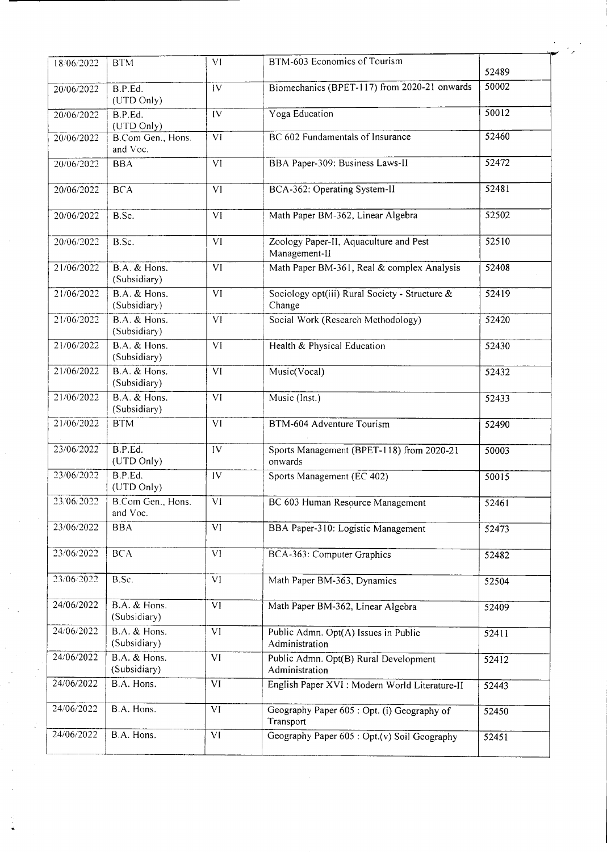| 18/06/2022 | <b>BTM</b>                              | VI                  | BTM-603 Economics of Tourism                             | 52489 |
|------------|-----------------------------------------|---------------------|----------------------------------------------------------|-------|
| 20/06/2022 | B.P.Ed.<br>(UTD Only)                   | <b>IV</b>           | Biomechanics (BPET-117) from 2020-21 onwards             | 50002 |
| 20/06/2022 | B.P.Ed.<br>(UTD Only)                   | $\overline{IV}$     | Yoga Education                                           | 50012 |
| 20/06/2022 | B.Com Gen., Hons.<br>and Voc.           | $\overline{VI}$     | BC 602 Fundamentals of Insurance                         | 52460 |
| 20/06/2022 | <b>BBA</b>                              | $\overline{VI}$     | BBA Paper-309: Business Laws-II                          | 52472 |
| 20/06/2022 | <b>BCA</b>                              | VI                  | BCA-362: Operating System-II                             | 52481 |
| 20/06/2022 | B.Sc.                                   | VI                  | Math Paper BM-362, Linear Algebra                        | 52502 |
| 20/06/2022 | B.Sc.                                   | VI                  | Zoology Paper-II, Aquaculture and Pest<br>Management-II  | 52510 |
| 21/06/2022 | B.A. & Hons.<br>(Subsidiary)            | $\overline{VI}$     | Math Paper BM-361, Real & complex Analysis               | 52408 |
| 21/06/2022 | <b>B.A. &amp; Hons.</b><br>(Subsidiary) | $\overline{VI}$     | Sociology opt(iii) Rural Society - Structure &<br>Change | 52419 |
| 21/06/2022 | <b>B.A. &amp; Hons.</b><br>(Subsidiary) | VI.                 | Social Work (Research Methodology)                       | 52420 |
| 21/06/2022 | <b>B.A. &amp; Hons.</b><br>(Subsidiary) | VI.                 | Health & Physical Education                              | 52430 |
| 21/06/2022 | <b>B.A. &amp; Hons.</b><br>(Subsidiary) | VI                  | Music(Vocal)                                             | 52432 |
| 21/06/2022 | <b>B.A. &amp; Hons.</b><br>(Subsidiary) | VI                  | Music (Inst.)                                            | 52433 |
| 21/06/2022 | <b>BTM</b>                              | <b>VI</b>           | BTM-604 Adventure Tourism                                | 52490 |
| 23/06/2022 | B.P.Ed.<br>(UTD Only)                   | IV                  | Sports Management (BPET-118) from 2020-21<br>onwards     | 50003 |
| 23/06/2022 | B.P.Ed.<br>(UTD Only)                   | IV                  | Sports Management (EC 402)                               | 50015 |
| 23/06/2022 | B.Com Gen., Hons.<br>and Voc.           | $\overline{\rm VI}$ | BC 603 Human Resource Management                         | 52461 |
| 23/06/2022 | <b>BBA</b>                              | $\overline{\rm VI}$ | BBA Paper-310: Logistic Management                       | 52473 |
| 23/06/2022 | <b>BCA</b>                              | <b>VI</b>           | BCA-363: Computer Graphics                               | 52482 |
| 23/06/2022 | B.Sc.                                   | VI                  | Math Paper BM-363, Dynamics                              | 52504 |
| 24/06/2022 | B.A. & Hons.<br>(Subsidiary)            | <b>VI</b>           | Math Paper BM-362, Linear Algebra                        | 52409 |
| 24/06/2022 | B.A. & Hons.<br>(Subsidiary)            | $\overline{VI}$     | Public Admn. Opt(A) Issues in Public<br>Administration   | 52411 |
| 24/06/2022 | B.A. & Hons.<br>(Subsidiary)            | VI                  | Public Admn. Opt(B) Rural Development<br>Administration  | 52412 |
| 24/06/2022 | B.A. Hons.                              | VI                  | English Paper XVI : Modern World Literature-II           | 52443 |
| 24/06/2022 | B.A. Hons.                              | VI                  | Geography Paper 605 : Opt. (i) Geography of<br>Transport | 52450 |
| 24/06/2022 | B.A. Hons.                              | VI <sup></sup>      | Geography Paper 605 : Opt.(v) Soil Geography             | 52451 |

 $\mathcal{L}^{\text{max}}_{\text{max}}$ 

 $\frac{1}{2} \sum_{i=1}^{n} \frac{1}{2} \sum_{j=1}^{n} \frac{1}{2} \sum_{j=1}^{n} \frac{1}{2} \sum_{j=1}^{n} \frac{1}{2} \sum_{j=1}^{n} \frac{1}{2} \sum_{j=1}^{n} \frac{1}{2} \sum_{j=1}^{n} \frac{1}{2} \sum_{j=1}^{n} \frac{1}{2} \sum_{j=1}^{n} \frac{1}{2} \sum_{j=1}^{n} \frac{1}{2} \sum_{j=1}^{n} \frac{1}{2} \sum_{j=1}^{n} \frac{1}{2} \sum_{j=1}^{n$ 

 $\frac{1}{2}$ 

 $\frac{1}{2}$ 

 $\ddot{\bullet}$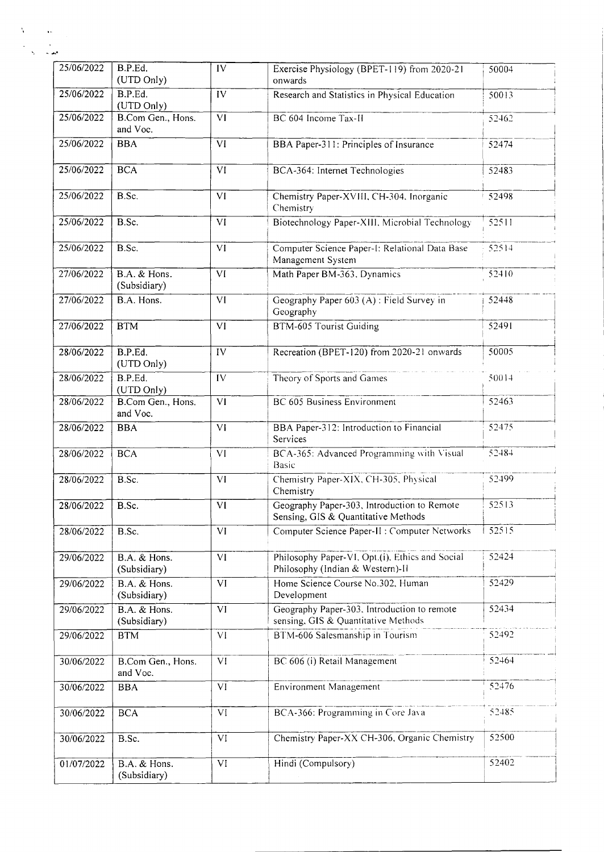| 25/06/2022 | B.P.Ed.<br>(UTD Only)                   | IV                  | Exercise Physiology (BPET-119) from 2020-21<br>onwards                              | 50004 |
|------------|-----------------------------------------|---------------------|-------------------------------------------------------------------------------------|-------|
| 25/06/2022 | B.P.Ed.<br>(UTD Only)                   | IV                  | Research and Statistics in Physical Education                                       | 50013 |
| 25/06/2022 | B.Com Gen., Hons.<br>and Voc.           | VI                  | BC 604 Income Tax-II                                                                | 52462 |
| 25/06/2022 | <b>BBA</b>                              | <b>VI</b>           | BBA Paper-311: Principles of Insurance                                              | 52474 |
| 25/06/2022 | <b>BCA</b>                              | VI                  | BCA-364: Internet Technologies                                                      | 52483 |
| 25/06/2022 | B.Sc.                                   | VI                  | Chemistry Paper-XVIII, CH-304. Inorganic<br>Chemistry                               | 52498 |
| 25/06/2022 | B.Sc.                                   | VI                  | Biotechnology Paper-XIII. Microbial Technology                                      | 52511 |
| 25/06/2022 | B.Sc.                                   | <b>VI</b>           | Computer Science Paper-I: Relational Data Base<br>Management System                 | 52514 |
| 27/06/2022 | B.A. & Hons.<br>(Subsidiary)            | $\overline{\rm VI}$ | Math Paper BM-363, Dynamics                                                         | 52410 |
| 27/06/2022 | B.A. Hons.                              | VI                  | Geography Paper 603 (A) : Field Survey in<br>Geography                              | 52448 |
| 27/06/2022 | <b>BTM</b>                              | VI                  | BTM-605 Tourist Guiding                                                             | 52491 |
| 28/06/2022 | B.P.Ed.<br>(UTD Only)                   | IV                  | Recreation (BPET-120) from 2020-21 onwards                                          | 50005 |
| 28/06/2022 | B.P.Ed.<br>(UTD Only)                   | $\overline{IV}$     | Theory of Sports and Games                                                          | 50014 |
| 28/06/2022 | B.Com Gen., Hons.<br>and Voc.           | Vİ                  | BC 605 Business Environment                                                         | 52463 |
| 28/06/2022 | <b>BBA</b>                              | VI                  | BBA Paper-312: Introduction to Financial<br>Services                                | 52475 |
| 28/06/2022 | <b>BCA</b>                              | <b>VI</b>           | BCA-365: Advanced Programming with Visual<br><b>Basic</b>                           | 52484 |
| 28/06/2022 | B.Sc.                                   | <b>VI</b>           | Chemistry Paper-XIX, CH-305, Physical<br>Chemistry                                  | 52499 |
| 28/06/2022 | B.Sc.                                   | VI                  | Geography Paper-303, Introduction to Remote<br>Sensing, GIS & Quantitative Methods  | 52513 |
| 28/06/2022 | B.Sc.                                   | VI                  | Computer Science Paper-II : Computer Networks                                       | 52515 |
| 29/06/2022 | <b>B.A. &amp; Hons.</b><br>(Subsidiary) | <b>VI</b>           | Philosophy Paper-VI, Opt.(i), Ethics and Social<br>Philosophy (Indian & Western)-II | 52424 |
| 29/06/2022 | B.A. & Hons.<br>(Subsidiary)            | VI                  | Home Science Course No.302, Human<br>Development                                    | 52429 |
| 29/06/2022 | B.A. & Hons.<br>(Subsidiary)            | VI                  | Geography Paper-303. Introduction to remote<br>sensing, GIS & Quantitative Methods  | 52434 |
| 29/06/2022 | <b>BTM</b>                              | <b>VI</b>           | BTM-606 Salesmanship in Tourism                                                     | 52492 |
| 30/06/2022 | B.Com Gen., Hons.<br>and Voc.           | $\overline{VI}$     | BC 606 (i) Retail Management                                                        | 52464 |
| 30/06/2022 | <b>BBA</b>                              | VI                  | Environment Management                                                              | 52476 |
| 30/06/2022 | <b>BCA</b>                              | VI                  | BCA-366: Programming in Core Java                                                   | 52485 |
| 30/06/2022 | B.Sc.                                   | VI                  | Chemistry Paper-XX CH-306, Organic Chemistry                                        | 52500 |
| 01/07/2022 | B.A. & Hons.<br>(Subsidiary)            | VI                  | Hindi (Compulsory)                                                                  | 52402 |

 $\begin{aligned} \Delta \mathbf{y} & = \mathbf{y} \mathbf{y}, \\ \Delta \mathbf{y} & = \mathbf{y} \mathbf{y}, \\ \Delta \mathbf{y} & = \mathbf{y} \mathbf{y}, \\ \Delta \mathbf{y} & = \mathbf{y} \mathbf{y}. \end{aligned}$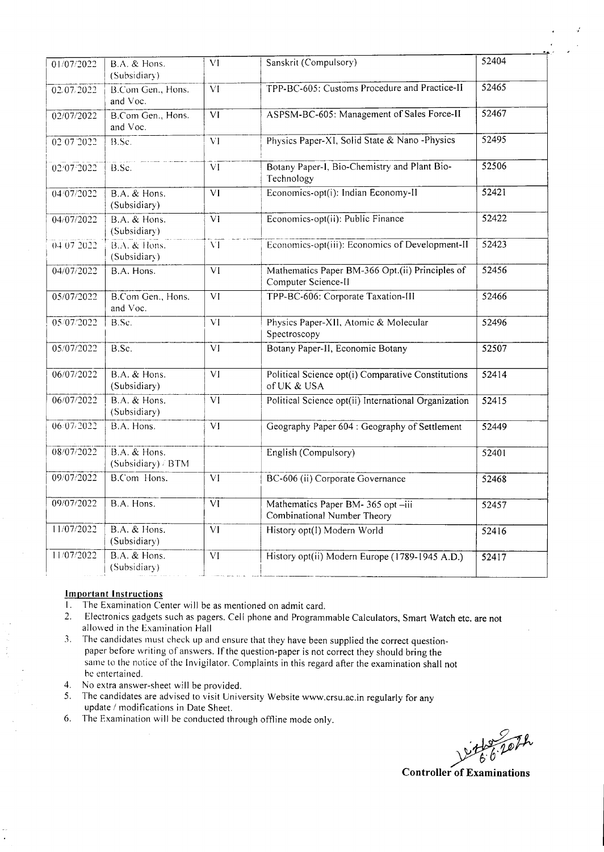| 01/07/2022 | B.A. & Hons.<br>(Subsidiary)            | VI.                    | Sanskrit (Compulsory)                                                  | 52404             |
|------------|-----------------------------------------|------------------------|------------------------------------------------------------------------|-------------------|
| 02.07.2022 | B.Com Gen., Hons.<br>and Voc.           | $\overline{\rm VI}$    | TPP-BC-605: Customs Procedure and Practice-II                          | 52465             |
| 02/07/2022 | B.Com Gen., Hons.<br>and Voc.           | $\overline{VI}$        | ASPSM-BC-605: Management of Sales Force-II                             | 52467             |
| 02:07:2022 | B.Sc.                                   | $\overline{\rm VI}$    | Physics Paper-XI, Solid State & Nano - Physics                         | 52495             |
| 02/07/2022 | B.Sc.                                   | VI                     | Botany Paper-I, Bio-Chemistry and Plant Bio-<br>Technology             | $\frac{1}{52506}$ |
| 04/07/2022 | B.A. & Hons.<br>(Subsidiary)            | VI                     | Economics-opt(i): Indian Economy-II                                    | 52421             |
| 04/07/2022 | <b>B.A. &amp; Hons.</b><br>(Subsidiary) | $\overline{VI}$        | Economics-opt(ii): Public Finance                                      | 52422             |
| 04/07/2022 | B.A. & Hons.<br>(Subsidiary)            | $\overline{\rm VI}$    | Economics-opt(iii): Economics of Development-II                        | 52423             |
| 04/07/2022 | B.A. Hons.                              | $\overline{VI}$        | Mathematics Paper BM-366 Opt.(ii) Principles of<br>Computer Science-II | 52456             |
| 05/07/2022 | B.Com Gen., Hons.<br>and Voc.           | $\overline{VI}$        | TPP-BC-606: Corporate Taxation-III                                     | 52466             |
| 05/07/2022 | $B.$ Sc.                                | $\overline{\rm VI}$    | Physics Paper-XII, Atomic & Molecular<br>Spectroscopy                  | 52496             |
| 05/07/2022 | $B.$ Sc.                                | $\overline{VI}$        | Botany Paper-II, Economic Botany                                       | 52507             |
| 06/07/2022 | B.A. & Hans.<br>(Subsidiary)            | $\overline{VI}$        | Political Science opt(i) Comparative Constitutions<br>of UK & USA      | 52414             |
| 06/07/2022 | <b>B.A. &amp; Hons.</b><br>(Subsidiary) | $\overline{VI}$        | Political Science opt(ii) International Organization                   | 52415             |
| 06/07/2022 | B.A. Hons.                              | $\overline{\text{VI}}$ | Geography Paper 604 : Geography of Settlement                          | 52449             |
| 08/07/2022 | B.A. & Hons.<br>(Subsidiary) / BTM      |                        | English (Compulsory)                                                   | 52401             |
| 09/07/2022 | B.Com Hons.                             | $\overline{VI}$        | BC-606 (ii) Corporate Governance                                       | 52468             |
| 09/07/2022 | B.A. Hons.                              | $\overline{\text{VI}}$ | Mathematics Paper BM- 365 opt -iii<br>Combinational Number Theory      | 52457             |
| 11/07/2022 | B.A. & Hons.<br>(Subsidiary)            | $\overline{VI}$        | History opt(I) Modern World                                            | 52416             |
| 11/07/2022 | B.A. & Hons.<br>(Subsidiary)            | $\overline{VI}$        | History opt(ii) Modern Europe (1789-1945 A.D.)                         | 52417             |

## **Important Instructions**

- 1. The Examination Center will be as mentioned on admit card.<br>2. Electronics gadgets such as pagers. Cell phone and Programn
- 2. Electronics gadgets such as pagers. Cell phone and Programmable Calculators, Smart Watch etc. are not allowed in the Examination Hall
- 3. The candidates must check up and ensure that they have been supplied the correct questionpaper before writing of answers. If the question-paper is not correct they should bring the same to the notice of the lnvigilator. Complaints in this regard after the examination shall not he entertained.
- 4. No extra answer-sheet will be provided.
- 5. The candidates are advised to visit University Website www.crsu.ac.in regularly for any update / modiflcations in Date Sheet.
- 6. The Examination will be conducted through offline mode only.

**Controller of Examinations**